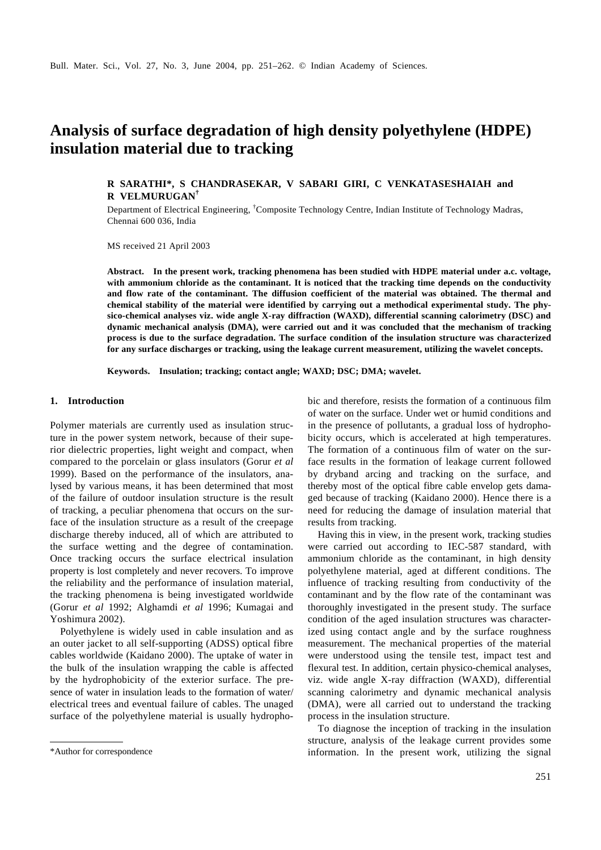# **Analysis of surface degradation of high density polyethylene (HDPE) insulation material due to tracking**

# **R SARATHI\*, S CHANDRASEKAR, V SABARI GIRI, C VENKATASESHAIAH and R VELMURUGAN†**

Department of Electrical Engineering, †Composite Technology Centre, Indian Institute of Technology Madras, Chennai 600 036, India

MS received 21 April 2003

**Abstract. In the present work, tracking phenomena has been studied with HDPE material under a.c. voltage, with ammonium chloride as the contaminant. It is noticed that the tracking time depends on the conductivity and flow rate of the contaminant. The diffusion coefficient of the material was obtained. The thermal and chemical stability of the material were identified by carrying out a methodical experimental study. The physico-chemical analyses viz. wide angle X-ray diffraction (WAXD), differential scanning calorimetry (DSC) and dynamic mechanical analysis (DMA), were carried out and it was concluded that the mechanism of tracking process is due to the surface degradation. The surface condition of the insulation structure was characterized for any surface discharges or tracking, using the leakage current measurement, utilizing the wavelet concepts.**

**Keywords. Insulation; tracking; contact angle; WAXD; DSC; DMA; wavelet.**

### **1. Introduction**

Polymer materials are currently used as insulation structure in the power system network, because of their superior dielectric properties, light weight and compact, when compared to the porcelain or glass insulators (Gorur *et al* 1999). Based on the performance of the insulators, analysed by various means, it has been determined that most of the failure of outdoor insulation structure is the result of tracking, a peculiar phenomena that occurs on the surface of the insulation structure as a result of the creepage discharge thereby induced, all of which are attributed to the surface wetting and the degree of contamination. Once tracking occurs the surface electrical insulation property is lost completely and never recovers. To improve the reliability and the performance of insulation material, the tracking phenomena is being investigated worldwide (Gorur *et al* 1992; Alghamdi *et al* 1996; Kumagai and Yoshimura 2002).

Polyethylene is widely used in cable insulation and as an outer jacket to all self-supporting (ADSS) optical fibre cables worldwide (Kaidano 2000). The uptake of water in the bulk of the insulation wrapping the cable is affected by the hydrophobicity of the exterior surface. The presence of water in insulation leads to the formation of water/ electrical trees and eventual failure of cables. The unaged surface of the polyethylene material is usually hydrophobic and therefore, resists the formation of a continuous film of water on the surface. Under wet or humid conditions and in the presence of pollutants, a gradual loss of hydrophobicity occurs, which is accelerated at high temperatures. The formation of a continuous film of water on the surface results in the formation of leakage current followed by dryband arcing and tracking on the surface, and thereby most of the optical fibre cable envelop gets damaged because of tracking (Kaidano 2000). Hence there is a need for reducing the damage of insulation material that results from tracking.

Having this in view, in the present work, tracking studies were carried out according to IEC-587 standard, with ammonium chloride as the contaminant, in high density polyethylene material, aged at different conditions. The influence of tracking resulting from conductivity of the contaminant and by the flow rate of the contaminant was thoroughly investigated in the present study. The surface condition of the aged insulation structures was characterized using contact angle and by the surface roughness measurement. The mechanical properties of the material were understood using the tensile test, impact test and flexural test. In addition, certain physico-chemical analyses, viz. wide angle X-ray diffraction (WAXD), differential scanning calorimetry and dynamic mechanical analysis (DMA), were all carried out to understand the tracking process in the insulation structure.

To diagnose the inception of tracking in the insulation structure, analysis of the leakage current provides some \*Author for correspondence information. In the present work, utilizing the signal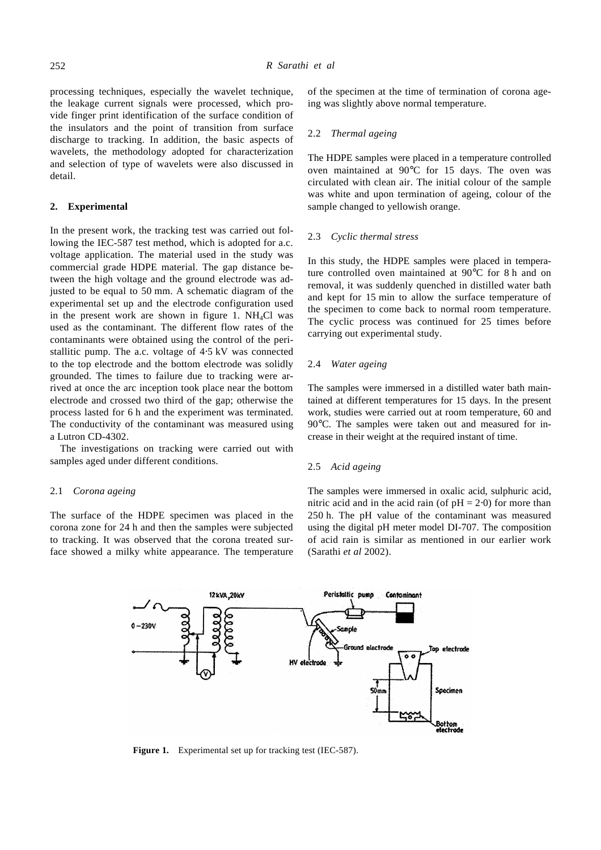processing techniques, especially the wavelet technique, the leakage current signals were processed, which provide finger print identification of the surface condition of the insulators and the point of transition from surface discharge to tracking. In addition, the basic aspects of wavelets, the methodology adopted for characterization and selection of type of wavelets were also discussed in detail.

### **2. Experimental**

In the present work, the tracking test was carried out following the IEC-587 test method, which is adopted for a.c. voltage application. The material used in the study was commercial grade HDPE material. The gap distance between the high voltage and the ground electrode was adjusted to be equal to 50 mm. A schematic diagram of the experimental set up and the electrode configuration used in the present work are shown in figure 1.  $NH<sub>4</sub>Cl$  was used as the contaminant. The different flow rates of the contaminants were obtained using the control of the peristallitic pump. The a.c. voltage of 4⋅5 kV was connected to the top electrode and the bottom electrode was solidly grounded. The times to failure due to tracking were arrived at once the arc inception took place near the bottom electrode and crossed two third of the gap; otherwise the process lasted for 6 h and the experiment was terminated. The conductivity of the contaminant was measured using a Lutron CD-4302.

The investigations on tracking were carried out with samples aged under different conditions.

### 2.1 *Corona ageing*

The surface of the HDPE specimen was placed in the corona zone for 24 h and then the samples were subjected to tracking. It was observed that the corona treated surface showed a milky white appearance. The temperature

of the specimen at the time of termination of corona ageing was slightly above normal temperature.

### 2.2 *Thermal ageing*

The HDPE samples were placed in a temperature controlled oven maintained at 90°C for 15 days. The oven was circulated with clean air. The initial colour of the sample was white and upon termination of ageing, colour of the sample changed to yellowish orange.

### 2.3 *Cyclic thermal stress*

In this study, the HDPE samples were placed in temperature controlled oven maintained at 90°C for 8 h and on removal, it was suddenly quenched in distilled water bath and kept for 15 min to allow the surface temperature of the specimen to come back to normal room temperature. The cyclic process was continued for 25 times before carrying out experimental study.

### 2.4 *Water ageing*

The samples were immersed in a distilled water bath maintained at different temperatures for 15 days. In the present work, studies were carried out at room temperature, 60 and 90°C. The samples were taken out and measured for increase in their weight at the required instant of time.

#### 2.5 *Acid ageing*

The samples were immersed in oxalic acid, sulphuric acid, nitric acid and in the acid rain (of  $pH = 2.0$ ) for more than 250 h. The pH value of the contaminant was measured using the digital pH meter model DI-707. The composition of acid rain is similar as mentioned in our earlier work (Sarathi *et al* 2002).



Figure 1. Experimental set up for tracking test (IEC-587).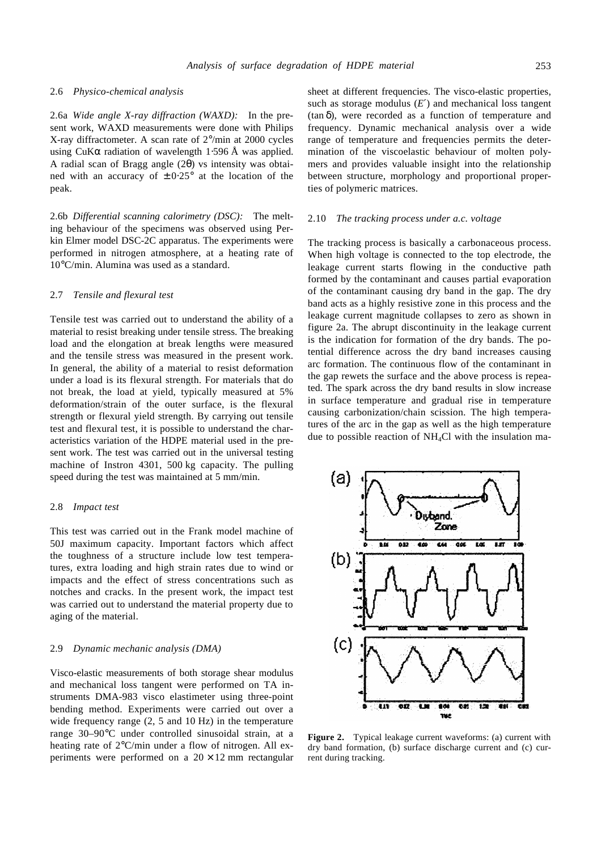## 2.6 *Physico-chemical analysis*

2.6a *Wide angle X-ray diffraction (WAXD):* In the present work, WAXD measurements were done with Philips X-ray diffractometer. A scan rate of 2°/min at 2000 cycles using CuK*a* radiation of wavelength 1⋅596 Å was applied. A radial scan of Bragg angle (2*q*) vs intensity was obtained with an accuracy of  $\pm 0.25^{\circ}$  at the location of the peak.

2.6b *Differential scanning calorimetry (DSC):* The melting behaviour of the specimens was observed using Perkin Elmer model DSC-2C apparatus. The experiments were performed in nitrogen atmosphere, at a heating rate of 10°C/min. Alumina was used as a standard.

# 2.7 *Tensile and flexural test*

Tensile test was carried out to understand the ability of a material to resist breaking under tensile stress. The breaking load and the elongation at break lengths were measured and the tensile stress was measured in the present work. In general, the ability of a material to resist deformation under a load is its flexural strength. For materials that do not break, the load at yield, typically measured at 5% deformation/strain of the outer surface, is the flexural strength or flexural yield strength. By carrying out tensile test and flexural test, it is possible to understand the characteristics variation of the HDPE material used in the present work. The test was carried out in the universal testing machine of Instron 4301, 500 kg capacity. The pulling speed during the test was maintained at 5 mm/min.

### 2.8 *Impact test*

This test was carried out in the Frank model machine of 50J maximum capacity. Important factors which affect the toughness of a structure include low test temperatures, extra loading and high strain rates due to wind or impacts and the effect of stress concentrations such as notches and cracks. In the present work, the impact test was carried out to understand the material property due to aging of the material.

#### 2.9 *Dynamic mechanic analysis (DMA)*

Visco-elastic measurements of both storage shear modulus and mechanical loss tangent were performed on TA instruments DMA-983 visco elastimeter using three-point bending method. Experiments were carried out over a wide frequency range (2, 5 and 10 Hz) in the temperature range 30–90°C under controlled sinusoidal strain, at a heating rate of 2°C/min under a flow of nitrogen. All experiments were performed on a  $20 \times 12$  mm rectangular

sheet at different frequencies. The visco-elastic properties, such as storage modulus  $(E')$  and mechanical loss tangent (tan *d*), were recorded as a function of temperature and frequency. Dynamic mechanical analysis over a wide range of temperature and frequencies permits the determination of the viscoelastic behaviour of molten polymers and provides valuable insight into the relationship between structure, morphology and proportional properties of polymeric matrices.

### 2.10 *The tracking process under a.c. voltage*

The tracking process is basically a carbonaceous process. When high voltage is connected to the top electrode, the leakage current starts flowing in the conductive path formed by the contaminant and causes partial evaporation of the contaminant causing dry band in the gap. The dry band acts as a highly resistive zone in this process and the leakage current magnitude collapses to zero as shown in figure 2a. The abrupt discontinuity in the leakage current is the indication for formation of the dry bands. The potential difference across the dry band increases causing arc formation. The continuous flow of the contaminant in the gap rewets the surface and the above process is repeated. The spark across the dry band results in slow increase in surface temperature and gradual rise in temperature causing carbonization/chain scission. The high temperatures of the arc in the gap as well as the high temperature due to possible reaction of  $NH<sub>4</sub>Cl$  with the insulation ma-



**Figure 2.** Typical leakage current waveforms: (a) current with dry band formation, (b) surface discharge current and (c) current during tracking.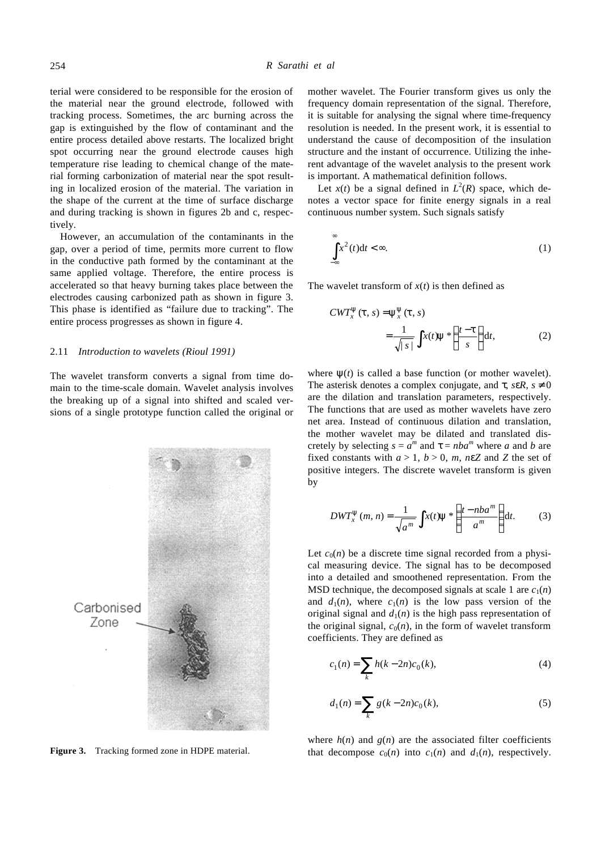terial were considered to be responsible for the erosion of the material near the ground electrode, followed with tracking process. Sometimes, the arc burning across the gap is extinguished by the flow of contaminant and the entire process detailed above restarts. The localized bright spot occurring near the ground electrode causes high temperature rise leading to chemical change of the material forming carbonization of material near the spot resulting in localized erosion of the material. The variation in the shape of the current at the time of surface discharge and during tracking is shown in figures 2b and c, respectively.

However, an accumulation of the contaminants in the gap, over a period of time, permits more current to flow in the conductive path formed by the contaminant at the same applied voltage. Therefore, the entire process is accelerated so that heavy burning takes place between the electrodes causing carbonized path as shown in figure 3. This phase is identified as "failure due to tracking". The entire process progresses as shown in figure 4.

### 2.11 *Introduction to wavelets (Rioul 1991)*

The wavelet transform converts a signal from time domain to the time-scale domain. Wavelet analysis involves the breaking up of a signal into shifted and scaled versions of a single prototype function called the original or



**Figure 3.** Tracking formed zone in HDPE material.

mother wavelet. The Fourier transform gives us only the frequency domain representation of the signal. Therefore, it is suitable for analysing the signal where time-frequency resolution is needed. In the present work, it is essential to understand the cause of decomposition of the insulation structure and the instant of occurrence. Utilizing the inherent advantage of the wavelet analysis to the present work is important. A mathematical definition follows.

Let  $x(t)$  be a signal defined in  $L^2(R)$  space, which denotes a vector space for finite energy signals in a real continuous number system. Such signals satisfy

$$
\int_{-\infty}^{\infty} x^2(t) \mathrm{d}t < \infty. \tag{1}
$$

The wavelet transform of  $x(t)$  is then defined as

$$
CWT_{x}^{\mathbf{y}}\left(\mathbf{t},s\right) = \mathbf{y}_{x}^{\mathbf{y}}\left(\mathbf{t},s\right)
$$

$$
= \frac{1}{\sqrt{|s|}} \int x(t) \mathbf{y}^{*} \left(\frac{t-\mathbf{t}}{s}\right) dt, \tag{2}
$$

where  $y(t)$  is called a base function (or mother wavelet). The asterisk denotes a complex conjugate, and *t*, *seR*,  $s \neq 0$ are the dilation and translation parameters, respectively. The functions that are used as mother wavelets have zero net area. Instead of continuous dilation and translation, the mother wavelet may be dilated and translated discretely by selecting  $s = a^m$  and  $t = nba^m$  where *a* and *b* are fixed constants with  $a > 1$ ,  $b > 0$ ,  $m$ ,  $neZ$  and  $Z$  the set of positive integers. The discrete wavelet transform is given by

$$
DWT_x^{\mathbf{y}}(m, n) = \frac{1}{\sqrt{a^m}} \int x(t) \mathbf{y} \cdot \left(\frac{t - nba^m}{a^m}\right) dt. \tag{3}
$$

Let  $c_0(n)$  be a discrete time signal recorded from a physical measuring device. The signal has to be decomposed into a detailed and smoothened representation. From the MSD technique, the decomposed signals at scale 1 are  $c_1(n)$ and  $d_1(n)$ , where  $c_1(n)$  is the low pass version of the original signal and  $d_1(n)$  is the high pass representation of the original signal,  $c_0(n)$ , in the form of wavelet transform coefficients. They are defined as

$$
c_1(n) = \sum_{k} h(k - 2n)c_0(k),
$$
 (4)

$$
d_1(n) = \sum_{k} g(k - 2n)c_0(k),
$$
 (5)

where  $h(n)$  and  $g(n)$  are the associated filter coefficients that decompose  $c_0(n)$  into  $c_1(n)$  and  $d_1(n)$ , respectively.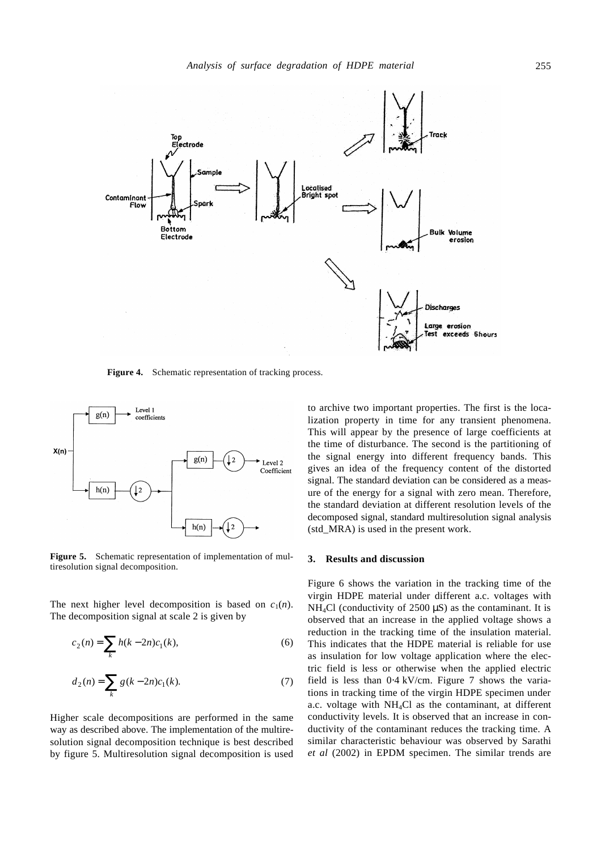

Figure 4. Schematic representation of tracking process.



Figure 5. Schematic representation of implementation of multiresolution signal decomposition.

The next higher level decomposition is based on  $c_1(n)$ . The decomposition signal at scale 2 is given by

$$
c_2(n) = \sum_{k} h(k - 2n)c_1(k),
$$
 (6)

$$
d_2(n) = \sum_{k} g(k - 2n)c_1(k).
$$
 (7)

Higher scale decompositions are performed in the same way as described above. The implementation of the multiresolution signal decomposition technique is best described by figure 5. Multiresolution signal decomposition is used to archive two important properties. The first is the localization property in time for any transient phenomena. This will appear by the presence of large coefficients at the time of disturbance. The second is the partitioning of the signal energy into different frequency bands. This gives an idea of the frequency content of the distorted signal. The standard deviation can be considered as a measure of the energy for a signal with zero mean. Therefore, the standard deviation at different resolution levels of the decomposed signal, standard multiresolution signal analysis (std\_MRA) is used in the present work.

### **3. Results and discussion**

Figure 6 shows the variation in the tracking time of the virgin HDPE material under different a.c. voltages with  $NH<sub>4</sub>Cl$  (conductivity of 2500  $\mu$ S) as the contaminant. It is observed that an increase in the applied voltage shows a reduction in the tracking time of the insulation material. This indicates that the HDPE material is reliable for use as insulation for low voltage application where the electric field is less or otherwise when the applied electric field is less than 0⋅4 kV/cm. Figure 7 shows the variations in tracking time of the virgin HDPE specimen under a.c. voltage with  $NH<sub>4</sub>Cl$  as the contaminant, at different conductivity levels. It is observed that an increase in conductivity of the contaminant reduces the tracking time. A similar characteristic behaviour was observed by Sarathi *et al* (2002) in EPDM specimen. The similar trends are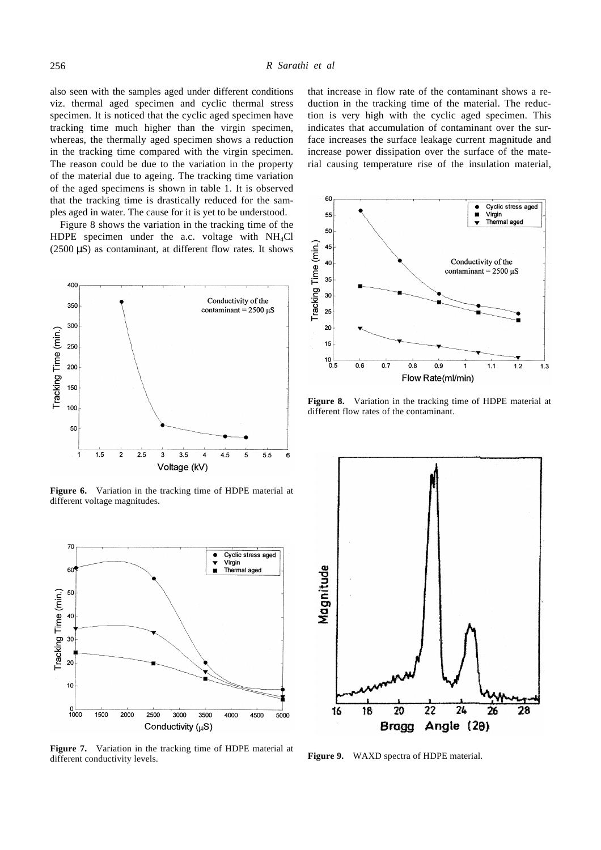also seen with the samples aged under different conditions viz. thermal aged specimen and cyclic thermal stress specimen. It is noticed that the cyclic aged specimen have tracking time much higher than the virgin specimen, whereas, the thermally aged specimen shows a reduction in the tracking time compared with the virgin specimen. The reason could be due to the variation in the property of the material due to ageing. The tracking time variation of the aged specimens is shown in table 1. It is observed that the tracking time is drastically reduced for the samples aged in water. The cause for it is yet to be understood.

Figure 8 shows the variation in the tracking time of the HDPE specimen under the a.c. voltage with NH4Cl (2500 μS) as contaminant, at different flow rates. It shows



Figure 6. Variation in the tracking time of HDPE material at different voltage magnitudes.



**Figure 7.** Variation in the tracking time of HDPE material at different conductivity levels.

that increase in flow rate of the contaminant shows a reduction in the tracking time of the material. The reduction is very high with the cyclic aged specimen. This indicates that accumulation of contaminant over the surface increases the surface leakage current magnitude and increase power dissipation over the surface of the material causing temperature rise of the insulation material,



**Figure 8.** Variation in the tracking time of HDPE material at different flow rates of the contaminant.



**Figure 9.** WAXD spectra of HDPE material.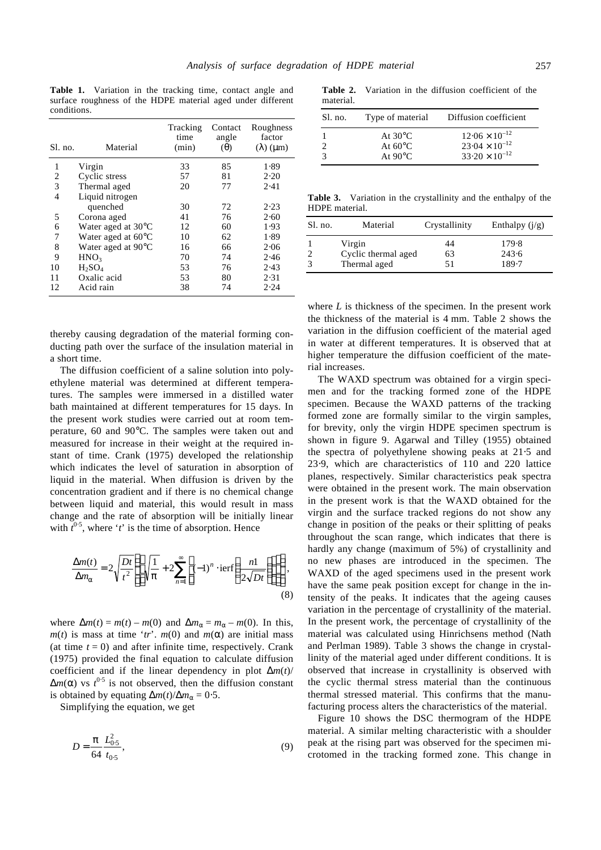**Table 1.** Variation in the tracking time, contact angle and surface roughness of the HDPE material aged under different conditions.

| Sl. no.        | Material                     | Tracking<br>time<br>(min) | Contact<br>angle<br>(q) | Roughness<br>factor<br>$(I)$ (µm) |
|----------------|------------------------------|---------------------------|-------------------------|-----------------------------------|
| 1              | Virgin                       | 33                        | 85                      | 1.89                              |
| 2              | Cyclic stress                | 57                        | 81                      | 2.20                              |
| 3              | Thermal aged                 | 20                        | 77                      | 2.41                              |
| $\overline{4}$ | Liquid nitrogen              |                           |                         |                                   |
|                | quenched                     | 30                        | 72                      | 2.23                              |
| 5              | Corona aged                  | 41                        | 76                      | 2.60                              |
| 6              | Water aged at $30^{\circ}$ C | 12                        | 60                      | 1.93                              |
| 7              | Water aged at $60^{\circ}$ C | 10                        | 62                      | 1.89                              |
| 8              | Water aged at 90°C           | 16                        | 66                      | 2.06                              |
| 9              | HNO <sub>3</sub>             | 70                        | 74                      | 2.46                              |
| 10             | $H_2SO_4$                    | 53                        | 76                      | 2.43                              |
| 11             | Oxalic acid                  | 53                        | 80                      | 2.31                              |
| 12             | Acid rain                    | 38                        | 74                      | 2.24                              |

thereby causing degradation of the material forming conducting path over the surface of the insulation material in a short time.

The diffusion coefficient of a saline solution into polyethylene material was determined at different temperatures. The samples were immersed in a distilled water bath maintained at different temperatures for 15 days. In the present work studies were carried out at room temperature, 60 and 90°C. The samples were taken out and measured for increase in their weight at the required instant of time. Crank (1975) developed the relationship which indicates the level of saturation in absorption of liquid in the material. When diffusion is driven by the concentration gradient and if there is no chemical change between liquid and material, this would result in mass change and the rate of absorption will be initially linear with  $t^{0.5}$ , where '*t*' is the time of absorption. Hence

$$
\frac{\Delta m(t)}{\Delta m_{\mathbf{a}}} = 2\sqrt{\frac{Dt}{t^2}} \left\{ \left[ \sqrt{\frac{1}{\mathbf{p}}} + 2\sum_{n=1}^{\infty} \left[ (-1)^n \cdot \text{ierf}\left(\frac{n1}{2\sqrt{Dt}}\right) \right] \right] \right\},\tag{8}
$$

where  $\Delta m(t) = m(t) - m(0)$  and  $\Delta m_a = m_a - m(0)$ . In this,  $m(t)$  is mass at time '*tr*'.  $m(0)$  and  $m(a)$  are initial mass (at time  $t = 0$ ) and after infinite time, respectively. Crank (1975) provided the final equation to calculate diffusion coefficient and if the linear dependency in plot  $\Delta m(t)$  $\Delta m(\mathbf{a})$  vs  $t^{0.5}$  is not observed, then the diffusion constant is obtained by equating  $\Delta m(t)/\Delta m_a = 0.5$ .

Simplifying the equation, we get

$$
D = \frac{p}{64} \frac{L_{0.5}^2}{t_{0.5}},
$$
\n(9)

**Table 2.** Variation in the diffusion coefficient of the material.

| Sl. no. | Type of material                                            | Diffusion coefficient                                                         |
|---------|-------------------------------------------------------------|-------------------------------------------------------------------------------|
|         | At $30^{\circ}$ C<br>At $60^{\circ}$ C<br>At $90^{\circ}$ C | $12.06 \times 10^{-12}$<br>$23.04 \times 10^{-12}$<br>$33.20 \times 10^{-12}$ |

**Table 3.** Variation in the crystallinity and the enthalpy of the HDPE material.

| Sl. no. | Material                                      | Crystallinity | Enthalpy $(j/g)$        |
|---------|-----------------------------------------------|---------------|-------------------------|
| 2<br>3  | Virgin<br>Cyclic thermal aged<br>Thermal aged | 44<br>63      | 179.8<br>243.6<br>189.7 |

where *L* is thickness of the specimen. In the present work the thickness of the material is 4 mm. Table 2 shows the variation in the diffusion coefficient of the material aged in water at different temperatures. It is observed that at higher temperature the diffusion coefficient of the material increases.

The WAXD spectrum was obtained for a virgin specimen and for the tracking formed zone of the HDPE specimen. Because the WAXD patterns of the tracking formed zone are formally similar to the virgin samples, for brevity, only the virgin HDPE specimen spectrum is shown in figure 9. Agarwal and Tilley (1955) obtained the spectra of polyethylene showing peaks at 21⋅5 and 23⋅9, which are characteristics of 110 and 220 lattice planes, respectively. Similar characteristics peak spectra were obtained in the present work. The main observation in the present work is that the WAXD obtained for the virgin and the surface tracked regions do not show any change in position of the peaks or their splitting of peaks throughout the scan range, which indicates that there is hardly any change (maximum of 5%) of crystallinity and no new phases are introduced in the specimen. The WAXD of the aged specimens used in the present work have the same peak position except for change in the intensity of the peaks. It indicates that the ageing causes variation in the percentage of crystallinity of the material. In the present work, the percentage of crystallinity of the material was calculated using Hinrichsens method (Nath and Perlman 1989). Table 3 shows the change in crystallinity of the material aged under different conditions. It is observed that increase in crystallinity is observed with the cyclic thermal stress material than the continuous thermal stressed material. This confirms that the manufacturing process alters the characteristics of the material.

Figure 10 shows the DSC thermogram of the HDPE material. A similar melting characteristic with a shoulder peak at the rising part was observed for the specimen microtomed in the tracking formed zone. This change in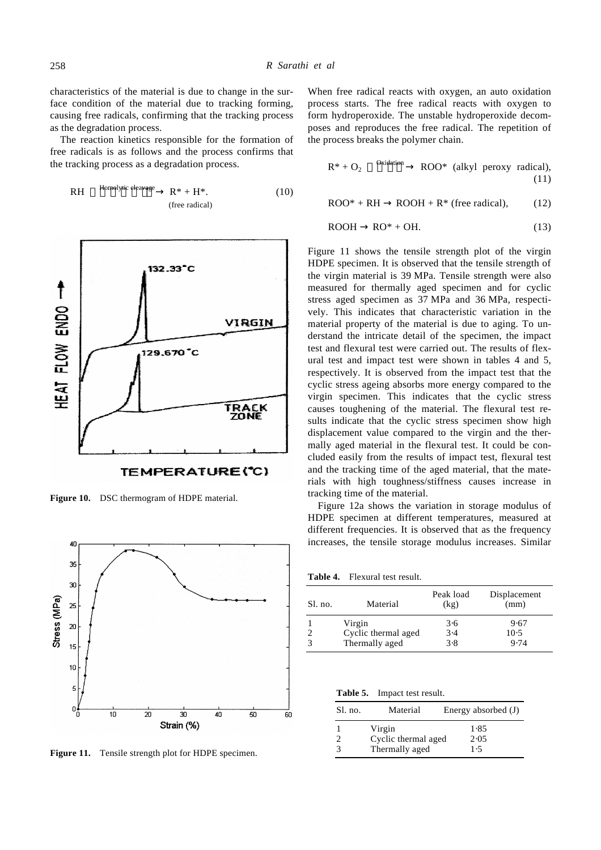characteristics of the material is due to change in the surface condition of the material due to tracking forming, causing free radicals, confirming that the tracking process as the degradation process.

The reaction kinetics responsible for the formation of free radicals is as follows and the process confirms that the tracking process as a degradation process.

$$
RH \xrightarrow{\text{Homolytic cleavage}} R^* + H^*.
$$
\n(10)

\n(free radical)



**Figure 10.** DSC thermogram of HDPE material.



**Figure 11.** Tensile strength plot for HDPE specimen.

When free radical reacts with oxygen, an auto oxidation process starts. The free radical reacts with oxygen to form hydroperoxide. The unstable hydroperoxide decomposes and reproduces the free radical. The repetition of the process breaks the polymer chain.

$$
R^* + O_2 \xrightarrow{\text{Oxidation}} ROO^* \text{ (alkyl peroxy radical)},
$$
\n(11)

$$
ROO^* + RH \to ROOH + R^* (free radical), \qquad (12)
$$

$$
ROOH \to RO^* + OH.
$$
 (13)

Figure 11 shows the tensile strength plot of the virgin HDPE specimen. It is observed that the tensile strength of the virgin material is 39 MPa. Tensile strength were also measured for thermally aged specimen and for cyclic stress aged specimen as 37 MPa and 36 MPa, respectively. This indicates that characteristic variation in the material property of the material is due to aging. To understand the intricate detail of the specimen, the impact test and flexural test were carried out. The results of flexural test and impact test were shown in tables 4 and 5, respectively. It is observed from the impact test that the cyclic stress ageing absorbs more energy compared to the virgin specimen. This indicates that the cyclic stress causes toughening of the material. The flexural test results indicate that the cyclic stress specimen show high displacement value compared to the virgin and the thermally aged material in the flexural test. It could be concluded easily from the results of impact test, flexural test and the tracking time of the aged material, that the materials with high toughness/stiffness causes increase in tracking time of the material.

Figure 12a shows the variation in storage modulus of HDPE specimen at different temperatures, measured at different frequencies. It is observed that as the frequency increases, the tensile storage modulus increases. Similar

**Table 4.** Flexural test result.

| Sl. no. | Material            | Peak load<br>(kg) | Displacement<br>(mm) |
|---------|---------------------|-------------------|----------------------|
|         | Virgin              | 3.6               | 9.67                 |
|         | Cyclic thermal aged | 3.4               | $10-5$               |
|         | Thermally aged      | 3.8               | 9.74                 |

**Table 5.** Impact test result.

| Sl. no. | Material            | Energy absorbed (J) |
|---------|---------------------|---------------------|
|         | Virgin              | 1.85                |
|         | Cyclic thermal aged | 2.05                |
|         | Thermally aged      | 1.5                 |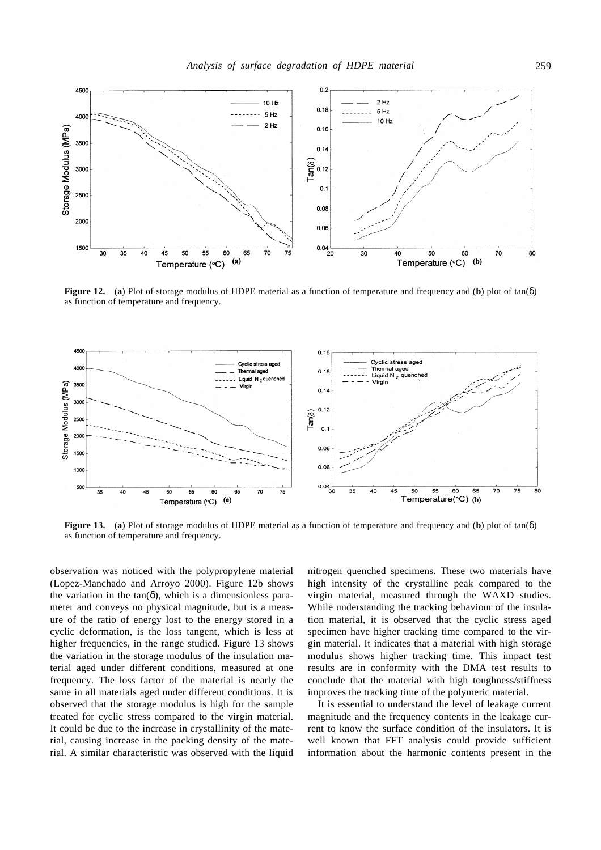

**Figure 12.** (**a**) Plot of storage modulus of HDPE material as a function of temperature and frequency and (**b**) plot of tan(*d*) as function of temperature and frequency.



**Figure 13.** (**a**) Plot of storage modulus of HDPE material as a function of temperature and frequency and (**b**) plot of tan(*d*) as function of temperature and frequency.

observation was noticed with the polypropylene material (Lopez-Manchado and Arroyo 2000). Figure 12b shows the variation in the tan $(d)$ , which is a dimensionless parameter and conveys no physical magnitude, but is a measure of the ratio of energy lost to the energy stored in a cyclic deformation, is the loss tangent, which is less at higher frequencies, in the range studied. Figure 13 shows the variation in the storage modulus of the insulation material aged under different conditions, measured at one frequency. The loss factor of the material is nearly the same in all materials aged under different conditions. It is observed that the storage modulus is high for the sample treated for cyclic stress compared to the virgin material. It could be due to the increase in crystallinity of the material, causing increase in the packing density of the material. A similar characteristic was observed with the liquid

nitrogen quenched specimens. These two materials have high intensity of the crystalline peak compared to the virgin material, measured through the WAXD studies. While understanding the tracking behaviour of the insulation material, it is observed that the cyclic stress aged specimen have higher tracking time compared to the virgin material. It indicates that a material with high storage modulus shows higher tracking time. This impact test results are in conformity with the DMA test results to conclude that the material with high toughness/stiffness improves the tracking time of the polymeric material.

It is essential to understand the level of leakage current magnitude and the frequency contents in the leakage current to know the surface condition of the insulators. It is well known that FFT analysis could provide sufficient information about the harmonic contents present in the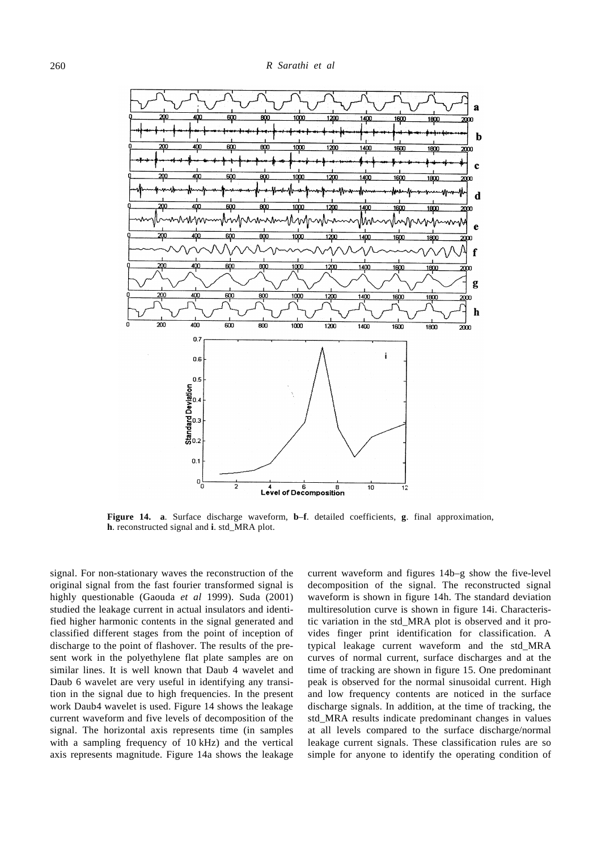

**Figure 14. a**. Surface discharge waveform, **b**–**f**. detailed coefficients, **g**. final approximation, **h**. reconstructed signal and **i**. std\_MRA plot.

signal. For non-stationary waves the reconstruction of the original signal from the fast fourier transformed signal is highly questionable (Gaouda *et al* 1999). Suda (2001) studied the leakage current in actual insulators and identified higher harmonic contents in the signal generated and classified different stages from the point of inception of discharge to the point of flashover. The results of the present work in the polyethylene flat plate samples are on similar lines. It is well known that Daub 4 wavelet and Daub 6 wavelet are very useful in identifying any transition in the signal due to high frequencies. In the present work Daub4 wavelet is used. Figure 14 shows the leakage current waveform and five levels of decomposition of the signal. The horizontal axis represents time (in samples with a sampling frequency of 10 kHz) and the vertical axis represents magnitude. Figure 14a shows the leakage

current waveform and figures 14b–g show the five-level decomposition of the signal. The reconstructed signal waveform is shown in figure 14h. The standard deviation multiresolution curve is shown in figure 14i. Characteristic variation in the std\_MRA plot is observed and it provides finger print identification for classification. A typical leakage current waveform and the std\_MRA curves of normal current, surface discharges and at the time of tracking are shown in figure 15. One predominant peak is observed for the normal sinusoidal current. High and low frequency contents are noticed in the surface discharge signals. In addition, at the time of tracking, the std\_MRA results indicate predominant changes in values at all levels compared to the surface discharge/normal leakage current signals. These classification rules are so simple for anyone to identify the operating condition of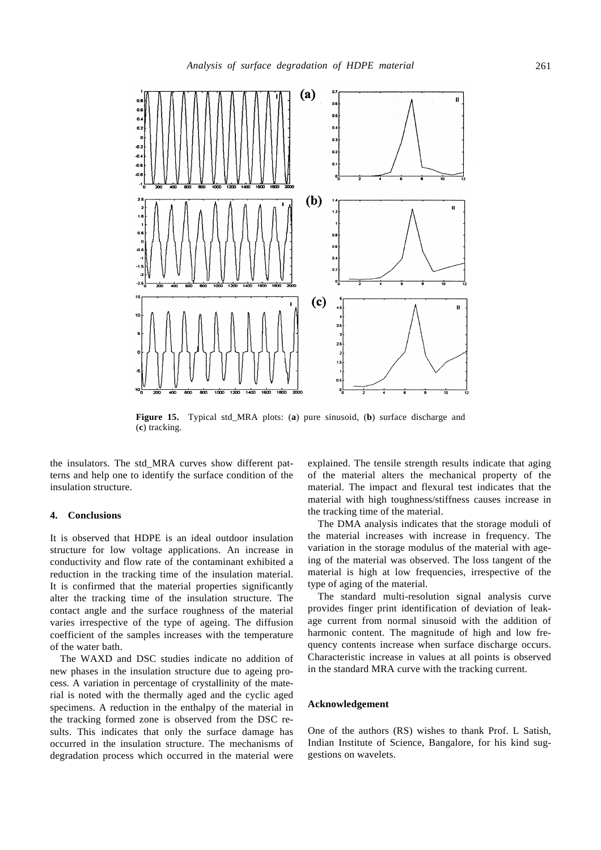

**Figure 15.** Typical std\_MRA plots: (**a**) pure sinusoid, (**b**) surface discharge and (**c**) tracking.

the insulators. The std\_MRA curves show different patterns and help one to identify the surface condition of the insulation structure.

## **4. Conclusions**

It is observed that HDPE is an ideal outdoor insulation structure for low voltage applications. An increase in conductivity and flow rate of the contaminant exhibited a reduction in the tracking time of the insulation material. It is confirmed that the material properties significantly alter the tracking time of the insulation structure. The contact angle and the surface roughness of the material varies irrespective of the type of ageing. The diffusion coefficient of the samples increases with the temperature of the water bath.

The WAXD and DSC studies indicate no addition of new phases in the insulation structure due to ageing process. A variation in percentage of crystallinity of the material is noted with the thermally aged and the cyclic aged specimens. A reduction in the enthalpy of the material in the tracking formed zone is observed from the DSC results. This indicates that only the surface damage has occurred in the insulation structure. The mechanisms of degradation process which occurred in the material were explained. The tensile strength results indicate that aging of the material alters the mechanical property of the material. The impact and flexural test indicates that the material with high toughness/stiffness causes increase in the tracking time of the material.

The DMA analysis indicates that the storage moduli of the material increases with increase in frequency. The variation in the storage modulus of the material with ageing of the material was observed. The loss tangent of the material is high at low frequencies, irrespective of the type of aging of the material.

The standard multi-resolution signal analysis curve provides finger print identification of deviation of leakage current from normal sinusoid with the addition of harmonic content. The magnitude of high and low frequency contents increase when surface discharge occurs. Characteristic increase in values at all points is observed in the standard MRA curve with the tracking current.

### **Acknowledgement**

One of the authors (RS) wishes to thank Prof. L Satish, Indian Institute of Science, Bangalore, for his kind suggestions on wavelets.